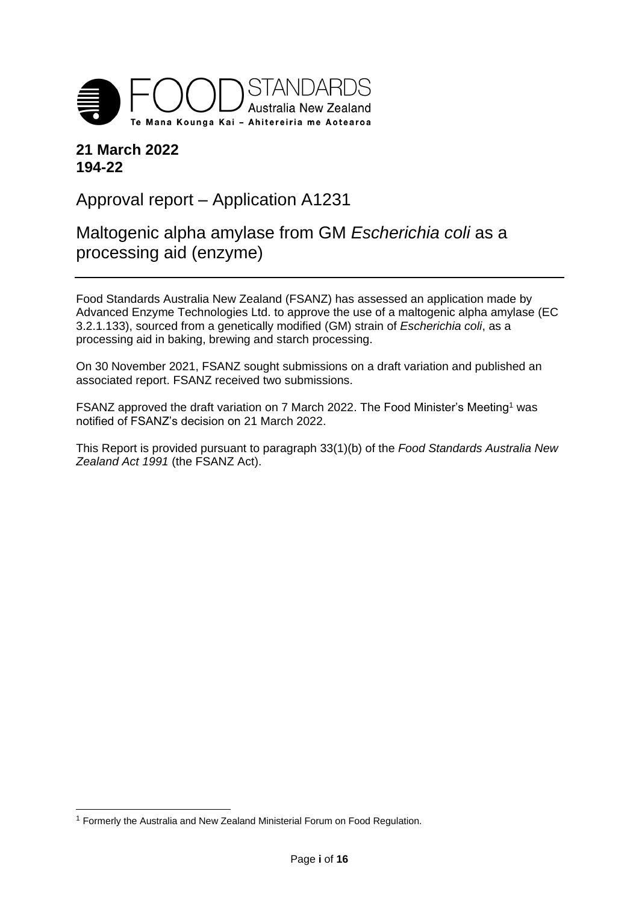

# **21 March 2022 194-22**

Approval report – Application A1231

Maltogenic alpha amylase from GM *Escherichia coli* as a processing aid (enzyme)

Food Standards Australia New Zealand (FSANZ) has assessed an application made by Advanced Enzyme Technologies Ltd. to approve the use of a maltogenic alpha amylase (EC 3.2.1.133), sourced from a genetically modified (GM) strain of *Escherichia coli*, as a processing aid in baking, brewing and starch processing.

On 30 November 2021, FSANZ sought submissions on a draft variation and published an associated report. FSANZ received two submissions.

FSANZ approved the draft variation on 7 March 2022. The Food Minister's Meeting<sup>1</sup> was notified of FSANZ's decision on 21 March 2022.

This Report is provided pursuant to paragraph 33(1)(b) of the *Food Standards Australia New Zealand Act 1991* (the FSANZ Act).

-

<sup>&</sup>lt;sup>1</sup> Formerly the Australia and New Zealand Ministerial Forum on Food Regulation.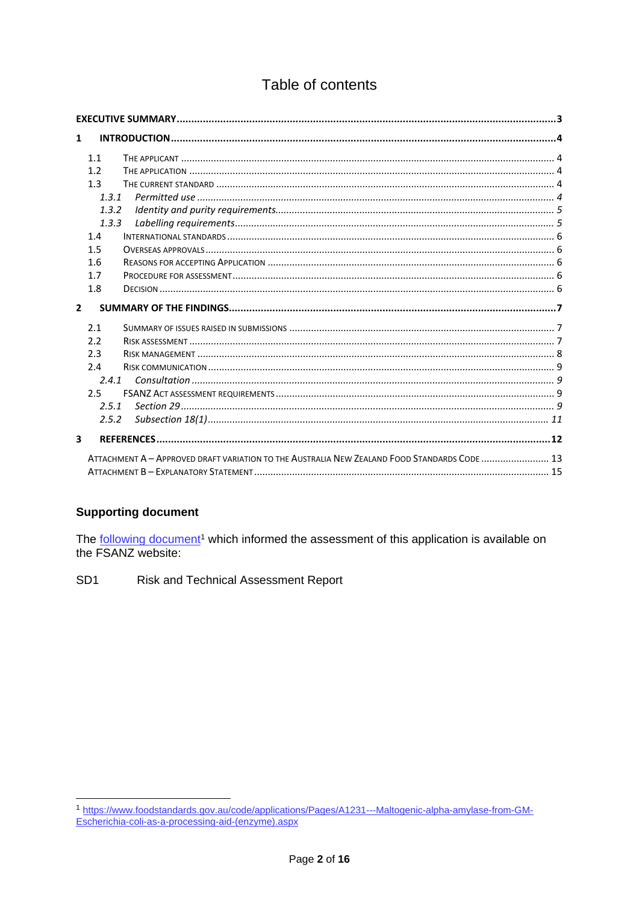# Table of contents

| $\mathbf{1}$            |       |                                                                                              |  |
|-------------------------|-------|----------------------------------------------------------------------------------------------|--|
|                         | 1.1   |                                                                                              |  |
|                         | 1.2   |                                                                                              |  |
|                         | 1.3   |                                                                                              |  |
|                         | 1.3.1 |                                                                                              |  |
|                         | 1.3.2 |                                                                                              |  |
|                         | 1.3.3 |                                                                                              |  |
|                         | 1.4   |                                                                                              |  |
|                         | 1.5   |                                                                                              |  |
|                         | 1.6   |                                                                                              |  |
|                         | 1.7   |                                                                                              |  |
|                         | 1.8   |                                                                                              |  |
|                         |       |                                                                                              |  |
| $\mathbf{z}$            |       |                                                                                              |  |
|                         | 2.1   |                                                                                              |  |
|                         | 2.2   |                                                                                              |  |
|                         | 2.3   |                                                                                              |  |
|                         | 2.4   |                                                                                              |  |
|                         | 2.4.1 |                                                                                              |  |
|                         | 2.5   |                                                                                              |  |
|                         | 2.5.1 |                                                                                              |  |
|                         | 2.5.2 |                                                                                              |  |
| $\overline{\mathbf{3}}$ |       |                                                                                              |  |
|                         |       | ATTACHMENT A - APPROVED DRAFT VARIATION TO THE AUSTRALIA NEW ZEALAND FOOD STANDARDS CODE  13 |  |

### **Supporting document**

The following document<sup>1</sup> which informed the assessment of this application is available on the FSANZ website:

SD<sub>1</sub> Risk and Technical Assessment Report

<sup>1</sup> https://www.foodstandards.gov.au/code/applications/Pages/A1231---Maltogenic-alpha-amylase-from-GM-<br>Escherichia-coli-as-a-processing-aid-(enzyme).aspx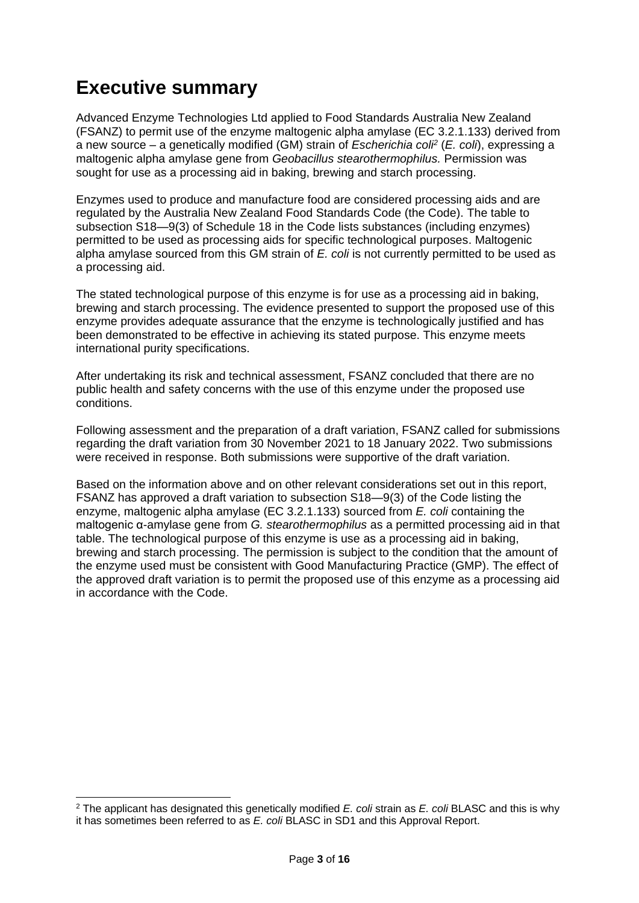# <span id="page-2-0"></span>**Executive summary**

-

Advanced Enzyme Technologies Ltd applied to Food Standards Australia New Zealand (FSANZ) to permit use of the enzyme maltogenic alpha amylase (EC 3.2.1.133) derived from a new source – a genetically modified (GM) strain of *Escherichia coli<sup>2</sup>* (*E. coli*), expressing a maltogenic alpha amylase gene from *Geobacillus stearothermophilus.* Permission was sought for use as a processing aid in baking, brewing and starch processing.

Enzymes used to produce and manufacture food are considered processing aids and are regulated by the Australia New Zealand Food Standards Code (the Code). The table to subsection S18—9(3) of Schedule 18 in the Code lists substances (including enzymes) permitted to be used as processing aids for specific technological purposes. Maltogenic alpha amylase sourced from this GM strain of *E. coli* is not currently permitted to be used as a processing aid.

The stated technological purpose of this enzyme is for use as a processing aid in baking, brewing and starch processing. The evidence presented to support the proposed use of this enzyme provides adequate assurance that the enzyme is technologically justified and has been demonstrated to be effective in achieving its stated purpose. This enzyme meets international purity specifications.

After undertaking its risk and technical assessment, FSANZ concluded that there are no public health and safety concerns with the use of this enzyme under the proposed use conditions.

Following assessment and the preparation of a draft variation, FSANZ called for submissions regarding the draft variation from 30 November 2021 to 18 January 2022. Two submissions were received in response. Both submissions were supportive of the draft variation.

Based on the information above and on other relevant considerations set out in this report, FSANZ has approved a draft variation to subsection S18—9(3) of the Code listing the enzyme, maltogenic alpha amylase (EC 3.2.1.133) sourced from *E. coli* containing the maltogenic α-amylase gene from *G. stearothermophilus* as a permitted processing aid in that table. The technological purpose of this enzyme is use as a processing aid in baking, brewing and starch processing. The permission is subject to the condition that the amount of the enzyme used must be consistent with Good Manufacturing Practice (GMP). The effect of the approved draft variation is to permit the proposed use of this enzyme as a processing aid in accordance with the Code.

<sup>2</sup> The applicant has designated this genetically modified *E. coli* strain as *E. coli* BLASC and this is why it has sometimes been referred to as *E. coli* BLASC in SD1 and this Approval Report.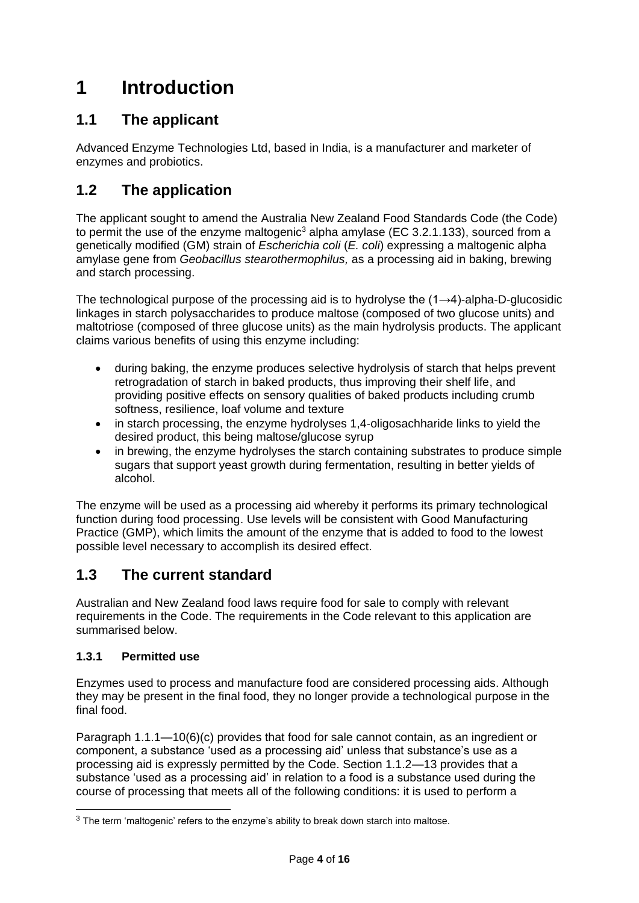# <span id="page-3-0"></span>**1 Introduction**

# <span id="page-3-1"></span>**1.1 The applicant**

Advanced Enzyme Technologies Ltd, based in India, is a manufacturer and marketer of enzymes and probiotics.

# <span id="page-3-2"></span>**1.2 The application**

The applicant sought to amend the Australia New Zealand Food Standards Code (the Code) to permit the use of the enzyme maltogenic<sup>3</sup> alpha amylase (EC 3.2.1.133), sourced from a genetically modified (GM) strain of *Escherichia coli* (*E. coli*) expressing a maltogenic alpha amylase gene from *Geobacillus stearothermophilus,* as a processing aid in baking, brewing and starch processing.

The technological purpose of the processing aid is to hydrolyse the (1→4)-alpha-D-glucosidic linkages in starch polysaccharides to produce maltose (composed of two glucose units) and maltotriose (composed of three glucose units) as the main hydrolysis products. The applicant claims various benefits of using this enzyme including:

- during baking, the enzyme produces selective hydrolysis of starch that helps prevent retrogradation of starch in baked products, thus improving their shelf life, and providing positive effects on sensory qualities of baked products including crumb softness, resilience, loaf volume and texture
- in starch processing, the enzyme hydrolyses 1,4-oligosachharide links to yield the desired product, this being maltose/glucose syrup
- in brewing, the enzyme hydrolyses the starch containing substrates to produce simple sugars that support yeast growth during fermentation, resulting in better yields of alcohol.

The enzyme will be used as a processing aid whereby it performs its primary technological function during food processing. Use levels will be consistent with Good Manufacturing Practice (GMP), which limits the amount of the enzyme that is added to food to the lowest possible level necessary to accomplish its desired effect.

# <span id="page-3-3"></span>**1.3 The current standard**

Australian and New Zealand food laws require food for sale to comply with relevant requirements in the Code. The requirements in the Code relevant to this application are summarised below.

## <span id="page-3-4"></span>**1.3.1 Permitted use**

-

Enzymes used to process and manufacture food are considered processing aids. Although they may be present in the final food, they no longer provide a technological purpose in the final food.

Paragraph 1.1.1—10(6)(c) provides that food for sale cannot contain, as an ingredient or component, a substance 'used as a processing aid' unless that substance's use as a processing aid is expressly permitted by the Code. Section 1.1.2—13 provides that a substance 'used as a processing aid' in relation to a food is a substance used during the course of processing that meets all of the following conditions: it is used to perform a

<sup>&</sup>lt;sup>3</sup> The term 'maltogenic' refers to the enzyme's ability to break down starch into maltose.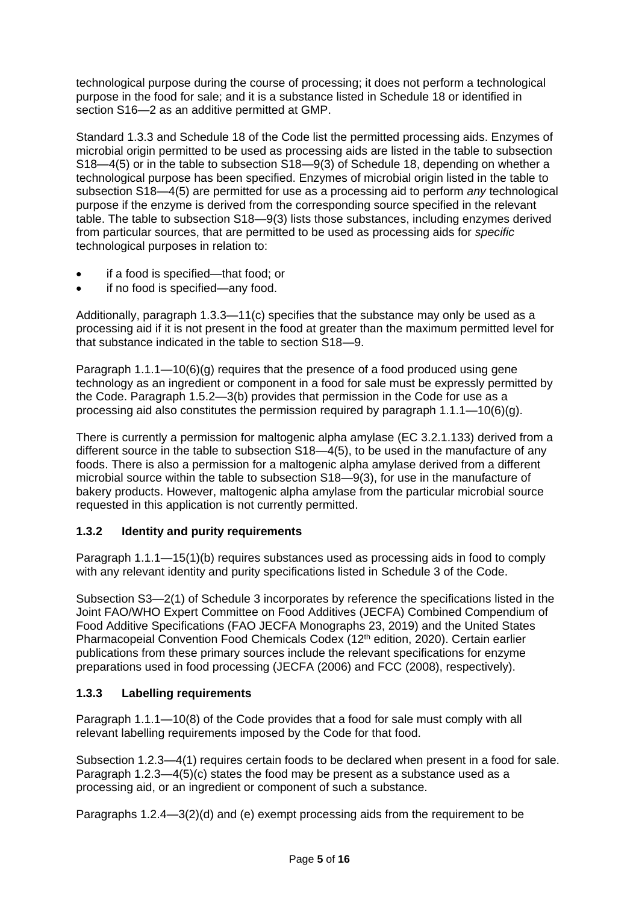technological purpose during the course of processing; it does not perform a technological purpose in the food for sale; and it is a substance listed in Schedule 18 or identified in section S16—2 as an additive permitted at GMP.

Standard 1.3.3 and Schedule 18 of the Code list the permitted processing aids. Enzymes of microbial origin permitted to be used as processing aids are listed in the table to subsection S18—4(5) or in the table to subsection S18—9(3) of Schedule 18, depending on whether a technological purpose has been specified. Enzymes of microbial origin listed in the table to subsection S18—4(5) are permitted for use as a processing aid to perform *any* technological purpose if the enzyme is derived from the corresponding source specified in the relevant table. The table to subsection S18—9(3) lists those substances, including enzymes derived from particular sources, that are permitted to be used as processing aids for *specific* technological purposes in relation to:

- if a food is specified—that food; or
- if no food is specified—any food.

Additionally, paragraph 1.3.3—11(c) specifies that the substance may only be used as a processing aid if it is not present in the food at greater than the maximum permitted level for that substance indicated in the table to section S18—9.

Paragraph  $1.1.1 - 10(6)(q)$  requires that the presence of a food produced using gene technology as an ingredient or component in a food for sale must be expressly permitted by the Code. Paragraph 1.5.2—3(b) provides that permission in the Code for use as a processing aid also constitutes the permission required by paragraph  $1.1.1 - 10(6)(q)$ .

There is currently a permission for maltogenic alpha amylase (EC 3.2.1.133) derived from a different source in the table to subsection S18—4(5), to be used in the manufacture of any foods. There is also a permission for a maltogenic alpha amylase derived from a different microbial source within the table to subsection S18—9(3), for use in the manufacture of bakery products. However, maltogenic alpha amylase from the particular microbial source requested in this application is not currently permitted.

## <span id="page-4-0"></span>**1.3.2 Identity and purity requirements**

Paragraph 1.1.1—15(1)(b) requires substances used as processing aids in food to comply with any relevant identity and purity specifications listed in Schedule 3 of the Code.

Subsection S3—2(1) of Schedule 3 incorporates by reference the specifications listed in the Joint FAO/WHO Expert Committee on Food Additives (JECFA) Combined Compendium of Food Additive Specifications (FAO JECFA Monographs 23, 2019) and the United States Pharmacopeial Convention Food Chemicals Codex (12<sup>th</sup> edition, 2020). Certain earlier publications from these primary sources include the relevant specifications for enzyme preparations used in food processing (JECFA (2006) and FCC (2008), respectively).

## <span id="page-4-1"></span>**1.3.3 Labelling requirements**

Paragraph 1.1.1—10(8) of the Code provides that a food for sale must comply with all relevant labelling requirements imposed by the Code for that food.

Subsection 1.2.3—4(1) requires certain foods to be declared when present in a food for sale. Paragraph 1.2.3—4(5)(c) states the food may be present as a substance used as a processing aid, or an ingredient or component of such a substance.

Paragraphs 1.2.4—3(2)(d) and (e) exempt processing aids from the requirement to be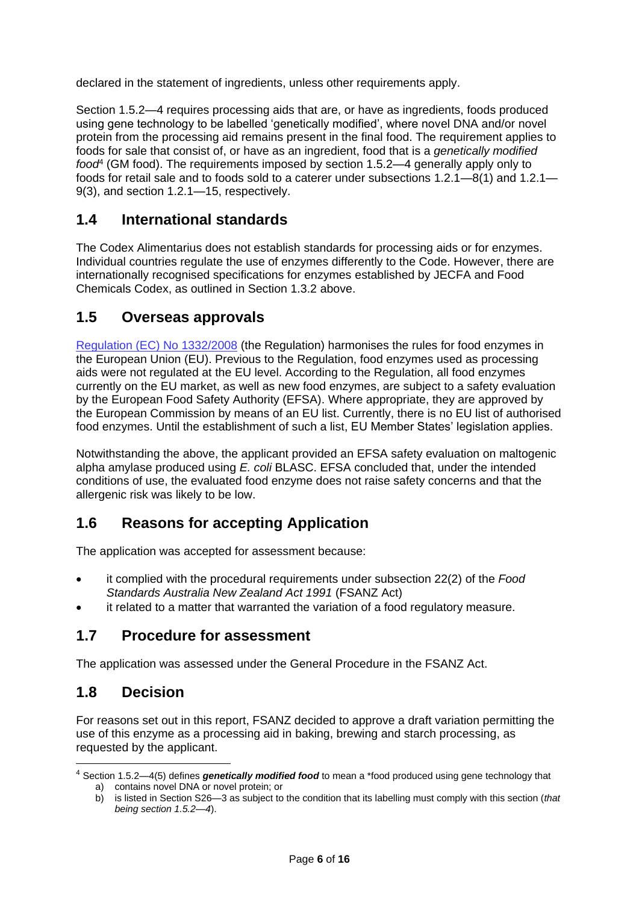declared in the statement of ingredients, unless other requirements apply.

Section 1.5.2—4 requires processing aids that are, or have as ingredients, foods produced using gene technology to be labelled 'genetically modified', where novel DNA and/or novel protein from the processing aid remains present in the final food. The requirement applies to foods for sale that consist of, or have as an ingredient, food that is a *genetically modified food*<sup>4</sup> (GM food). The requirements imposed by section 1.5.2—4 generally apply only to foods for retail sale and to foods sold to a caterer under subsections 1.2.1—8(1) and 1.2.1— 9(3), and section 1.2.1—15, respectively.

# <span id="page-5-0"></span>**1.4 International standards**

The Codex Alimentarius does not establish standards for processing aids or for enzymes. Individual countries regulate the use of enzymes differently to the Code. However, there are internationally recognised specifications for enzymes established by JECFA and Food Chemicals Codex, as outlined in Section 1.3.2 above.

# <span id="page-5-1"></span>**1.5 Overseas approvals**

[Regulation \(EC\) No 1332/2008](https://www.fao.org/faolex/results/details/en/c/LEX-FAOC117452/#:~:text=This%20Regulation%20lays%20down%20rules,the%20protection%20of%20the%20environment.) (the Regulation) harmonises the rules for food enzymes in the European Union (EU). Previous to the Regulation, food enzymes used as processing aids were not regulated at the EU level. According to the Regulation, all food enzymes currently on the EU market, as well as new food enzymes, are subject to a safety evaluation by the European Food Safety Authority (EFSA). Where appropriate, they are approved by the European Commission by means of an EU list. Currently, there is no EU list of authorised food enzymes. Until the establishment of such a list, EU Member States' legislation applies.

Notwithstanding the above, the applicant provided an EFSA safety evaluation on maltogenic alpha amylase produced using *E. coli* BLASC. EFSA concluded that, under the intended conditions of use, the evaluated food enzyme does not raise safety concerns and that the allergenic risk was likely to be low.

# <span id="page-5-2"></span>**1.6 Reasons for accepting Application**

The application was accepted for assessment because:

- it complied with the procedural requirements under subsection 22(2) of the *Food Standards Australia New Zealand Act 1991* (FSANZ Act)
- it related to a matter that warranted the variation of a food regulatory measure.

# <span id="page-5-3"></span>**1.7 Procedure for assessment**

<span id="page-5-4"></span>The application was assessed under the General Procedure in the FSANZ Act.

# **1.8 Decision**

 $\overline{a}$ 

For reasons set out in this report, FSANZ decided to approve a draft variation permitting the use of this enzyme as a processing aid in baking, brewing and starch processing, as requested by the applicant.

<sup>4</sup> Section 1.5.2—4(5) defines *genetically modified food* to mean a \*food produced using gene technology that a) contains novel DNA or novel protein; or

b) is listed in Section S26—3 as subject to the condition that its labelling must comply with this section (*that being section 1.5.2—4*).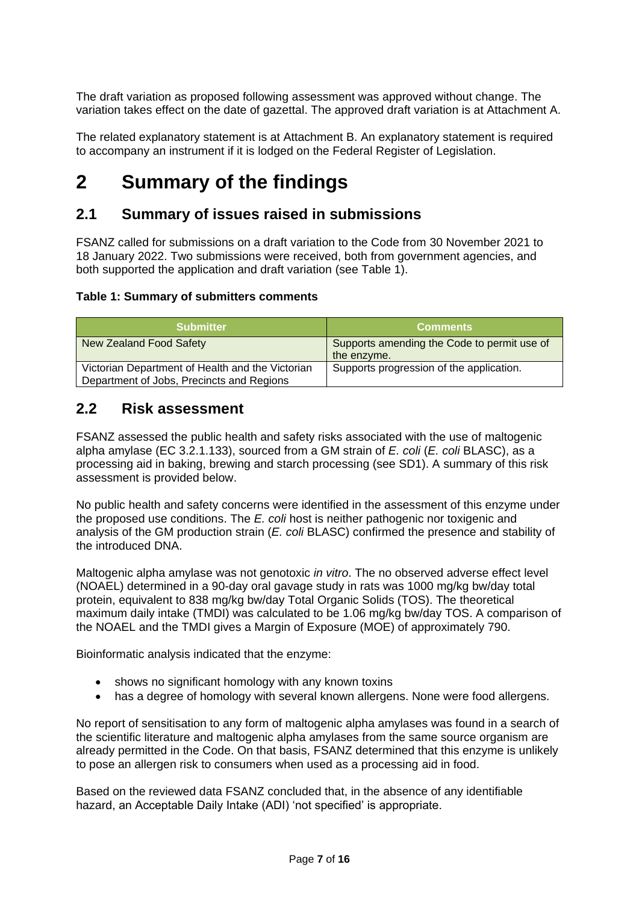The draft variation as proposed following assessment was approved without change. The variation takes effect on the date of gazettal. The approved draft variation is at Attachment A.

The related explanatory statement is at Attachment B. An explanatory statement is required to accompany an instrument if it is lodged on the Federal Register of Legislation.

# <span id="page-6-0"></span>**2 Summary of the findings**

# <span id="page-6-1"></span>**2.1 Summary of issues raised in submissions**

FSANZ called for submissions on a draft variation to the Code from 30 November 2021 to 18 January 2022. Two submissions were received, both from government agencies, and both supported the application and draft variation (see Table 1).

## **Table 1: Summary of submitters comments**

| <b>Submitter</b>                                                                              | <b>Comments</b>                                            |
|-----------------------------------------------------------------------------------------------|------------------------------------------------------------|
| <b>New Zealand Food Safety</b>                                                                | Supports amending the Code to permit use of<br>the enzyme. |
| Victorian Department of Health and the Victorian<br>Department of Jobs, Precincts and Regions | Supports progression of the application.                   |

# <span id="page-6-2"></span>**2.2 Risk assessment**

FSANZ assessed the public health and safety risks associated with the use of maltogenic alpha amylase (EC 3.2.1.133), sourced from a GM strain of *E. coli* (*E. coli* BLASC), as a processing aid in baking, brewing and starch processing (see SD1). A summary of this risk assessment is provided below.

No public health and safety concerns were identified in the assessment of this enzyme under the proposed use conditions. The *E. coli* host is neither pathogenic nor toxigenic and analysis of the GM production strain (*E. coli* BLASC) confirmed the presence and stability of the introduced DNA.

Maltogenic alpha amylase was not genotoxic *in vitro*. The no observed adverse effect level (NOAEL) determined in a 90-day oral gavage study in rats was 1000 mg/kg bw/day total protein, equivalent to 838 mg/kg bw/day Total Organic Solids (TOS). The theoretical maximum daily intake (TMDI) was calculated to be 1.06 mg/kg bw/day TOS. A comparison of the NOAEL and the TMDI gives a Margin of Exposure (MOE) of approximately 790.

Bioinformatic analysis indicated that the enzyme:

- shows no significant homology with any known toxins
- has a degree of homology with several known allergens. None were food allergens.

No report of sensitisation to any form of maltogenic alpha amylases was found in a search of the scientific literature and maltogenic alpha amylases from the same source organism are already permitted in the Code. On that basis, FSANZ determined that this enzyme is unlikely to pose an allergen risk to consumers when used as a processing aid in food.

Based on the reviewed data FSANZ concluded that, in the absence of any identifiable hazard, an Acceptable Daily Intake (ADI) 'not specified' is appropriate.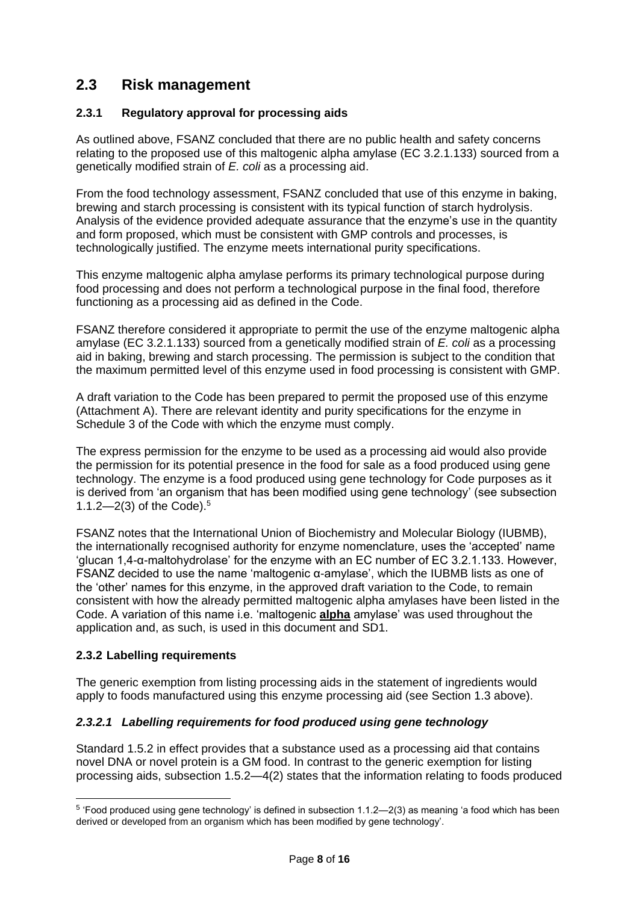# <span id="page-7-0"></span>**2.3 Risk management**

## **2.3.1 Regulatory approval for processing aids**

As outlined above, FSANZ concluded that there are no public health and safety concerns relating to the proposed use of this maltogenic alpha amylase (EC 3.2.1.133) sourced from a genetically modified strain of *E. coli* as a processing aid.

From the food technology assessment, FSANZ concluded that use of this enzyme in baking, brewing and starch processing is consistent with its typical function of starch hydrolysis. Analysis of the evidence provided adequate assurance that the enzyme's use in the quantity and form proposed, which must be consistent with GMP controls and processes, is technologically justified. The enzyme meets international purity specifications.

This enzyme maltogenic alpha amylase performs its primary technological purpose during food processing and does not perform a technological purpose in the final food, therefore functioning as a processing aid as defined in the Code.

FSANZ therefore considered it appropriate to permit the use of the enzyme maltogenic alpha amylase (EC 3.2.1.133) sourced from a genetically modified strain of *E. coli* as a processing aid in baking, brewing and starch processing. The permission is subject to the condition that the maximum permitted level of this enzyme used in food processing is consistent with GMP.

A draft variation to the Code has been prepared to permit the proposed use of this enzyme (Attachment A). There are relevant identity and purity specifications for the enzyme in Schedule 3 of the Code with which the enzyme must comply.

The express permission for the enzyme to be used as a processing aid would also provide the permission for its potential presence in the food for sale as a food produced using gene technology. The enzyme is a food produced using gene technology for Code purposes as it is derived from 'an organism that has been modified using gene technology' (see subsection 1.1.2—2(3) of the Code).<sup>5</sup>

FSANZ notes that the International Union of Biochemistry and Molecular Biology (IUBMB), the internationally recognised authority for enzyme nomenclature, uses the 'accepted' name 'glucan 1,4-α-maltohydrolase' for the enzyme with an EC number of EC 3.2.1.133. However, FSANZ decided to use the name 'maltogenic α-amylase', which the IUBMB lists as one of the 'other' names for this enzyme, in the approved draft variation to the Code, to remain consistent with how the already permitted maltogenic alpha amylases have been listed in the Code. A variation of this name i.e. 'maltogenic **alpha** amylase' was used throughout the application and, as such, is used in this document and SD1.

## **2.3.2 Labelling requirements**

-

The generic exemption from listing processing aids in the statement of ingredients would apply to foods manufactured using this enzyme processing aid (see Section 1.3 above).

## *2.3.2.1 Labelling requirements for food produced using gene technology*

Standard 1.5.2 in effect provides that a substance used as a processing aid that contains novel DNA or novel protein is a GM food. In contrast to the generic exemption for listing processing aids, subsection 1.5.2—4(2) states that the information relating to foods produced

 $^5$  'Food produced using gene technology' is defined in subsection 1.1.2—2(3) as meaning 'a food which has been derived or developed from an organism which has been modified by gene technology'.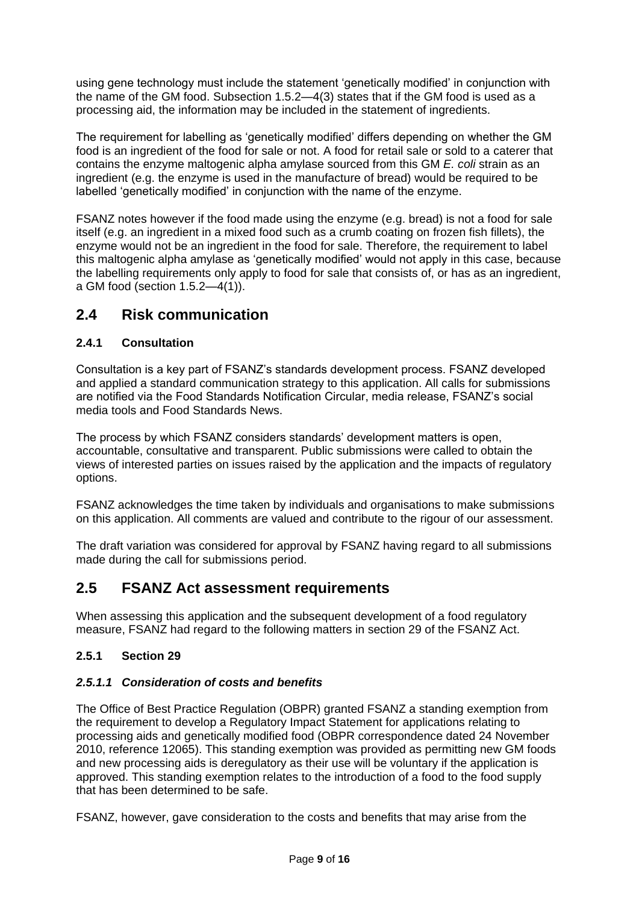using gene technology must include the statement 'genetically modified' in conjunction with the name of the GM food. Subsection 1.5.2—4(3) states that if the GM food is used as a processing aid, the information may be included in the statement of ingredients.

The requirement for labelling as 'genetically modified' differs depending on whether the GM food is an ingredient of the food for sale or not. A food for retail sale or sold to a caterer that contains the enzyme maltogenic alpha amylase sourced from this GM *E. coli* strain as an ingredient (e.g. the enzyme is used in the manufacture of bread) would be required to be labelled 'genetically modified' in conjunction with the name of the enzyme.

FSANZ notes however if the food made using the enzyme (e.g. bread) is not a food for sale itself (e.g. an ingredient in a mixed food such as a crumb coating on frozen fish fillets), the enzyme would not be an ingredient in the food for sale. Therefore, the requirement to label this maltogenic alpha amylase as 'genetically modified' would not apply in this case, because the labelling requirements only apply to food for sale that consists of, or has as an ingredient, a GM food (section 1.5.2—4(1)).

# <span id="page-8-0"></span>**2.4 Risk communication**

## <span id="page-8-1"></span>**2.4.1 Consultation**

Consultation is a key part of FSANZ's standards development process. FSANZ developed and applied a standard communication strategy to this application. All calls for submissions are notified via the Food Standards Notification Circular, media release, FSANZ's social media tools and Food Standards News.

The process by which FSANZ considers standards' development matters is open, accountable, consultative and transparent. Public submissions were called to obtain the views of interested parties on issues raised by the application and the impacts of regulatory options.

FSANZ acknowledges the time taken by individuals and organisations to make submissions on this application. All comments are valued and contribute to the rigour of our assessment.

The draft variation was considered for approval by FSANZ having regard to all submissions made during the call for submissions period.

# <span id="page-8-2"></span>**2.5 FSANZ Act assessment requirements**

When assessing this application and the subsequent development of a food regulatory measure, FSANZ had regard to the following matters in section 29 of the FSANZ Act.

## <span id="page-8-3"></span>**2.5.1 Section 29**

## *2.5.1.1 Consideration of costs and benefits*

The Office of Best Practice Regulation (OBPR) granted FSANZ a standing exemption from the requirement to develop a Regulatory Impact Statement for applications relating to processing aids and genetically modified food (OBPR correspondence dated 24 November 2010, reference 12065). This standing exemption was provided as permitting new GM foods and new processing aids is deregulatory as their use will be voluntary if the application is approved. This standing exemption relates to the introduction of a food to the food supply that has been determined to be safe.

FSANZ, however, gave consideration to the costs and benefits that may arise from the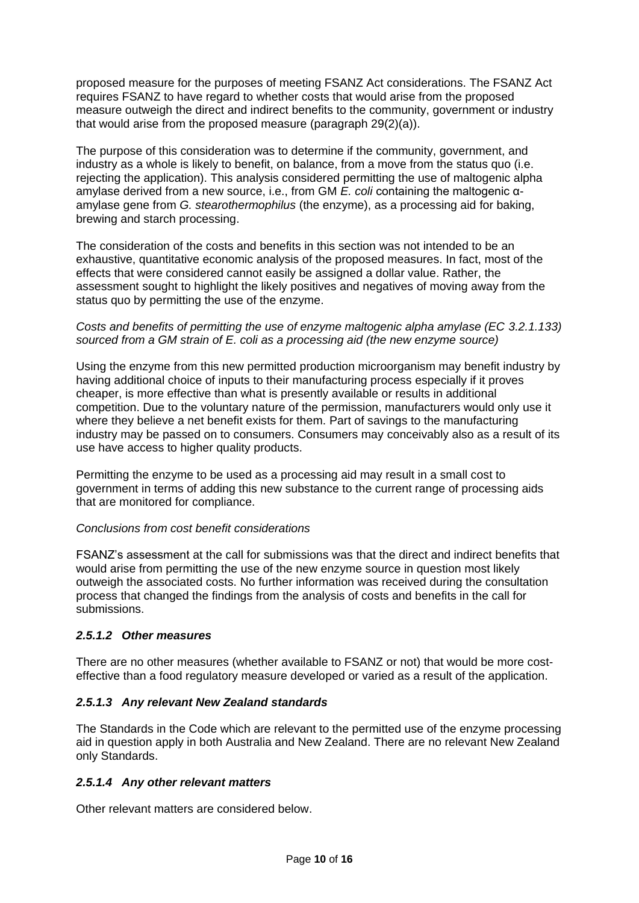proposed measure for the purposes of meeting FSANZ Act considerations. The FSANZ Act requires FSANZ to have regard to whether costs that would arise from the proposed measure outweigh the direct and indirect benefits to the community, government or industry that would arise from the proposed measure (paragraph 29(2)(a)).

The purpose of this consideration was to determine if the community, government, and industry as a whole is likely to benefit, on balance, from a move from the status quo (i.e. rejecting the application). This analysis considered permitting the use of maltogenic alpha amylase derived from a new source, i.e., from GM *E. coli* containing the maltogenic αamylase gene from *G. stearothermophilus* (the enzyme), as a processing aid for baking, brewing and starch processing.

The consideration of the costs and benefits in this section was not intended to be an exhaustive, quantitative economic analysis of the proposed measures. In fact, most of the effects that were considered cannot easily be assigned a dollar value. Rather, the assessment sought to highlight the likely positives and negatives of moving away from the status quo by permitting the use of the enzyme.

### *Costs and benefits of permitting the use of enzyme maltogenic alpha amylase (EC 3.2.1.133) sourced from a GM strain of E. coli as a processing aid (the new enzyme source)*

Using the enzyme from this new permitted production microorganism may benefit industry by having additional choice of inputs to their manufacturing process especially if it proves cheaper, is more effective than what is presently available or results in additional competition. Due to the voluntary nature of the permission, manufacturers would only use it where they believe a net benefit exists for them. Part of savings to the manufacturing industry may be passed on to consumers. Consumers may conceivably also as a result of its use have access to higher quality products.

Permitting the enzyme to be used as a processing aid may result in a small cost to government in terms of adding this new substance to the current range of processing aids that are monitored for compliance.

## *Conclusions from cost benefit considerations*

FSANZ's assessment at the call for submissions was that the direct and indirect benefits that would arise from permitting the use of the new enzyme source in question most likely outweigh the associated costs. No further information was received during the consultation process that changed the findings from the analysis of costs and benefits in the call for submissions.

### *2.5.1.2 Other measures*

There are no other measures (whether available to FSANZ or not) that would be more costeffective than a food regulatory measure developed or varied as a result of the application.

### *2.5.1.3 Any relevant New Zealand standards*

The Standards in the Code which are relevant to the permitted use of the enzyme processing aid in question apply in both Australia and New Zealand. There are no relevant New Zealand only Standards.

### *2.5.1.4 Any other relevant matters*

Other relevant matters are considered below.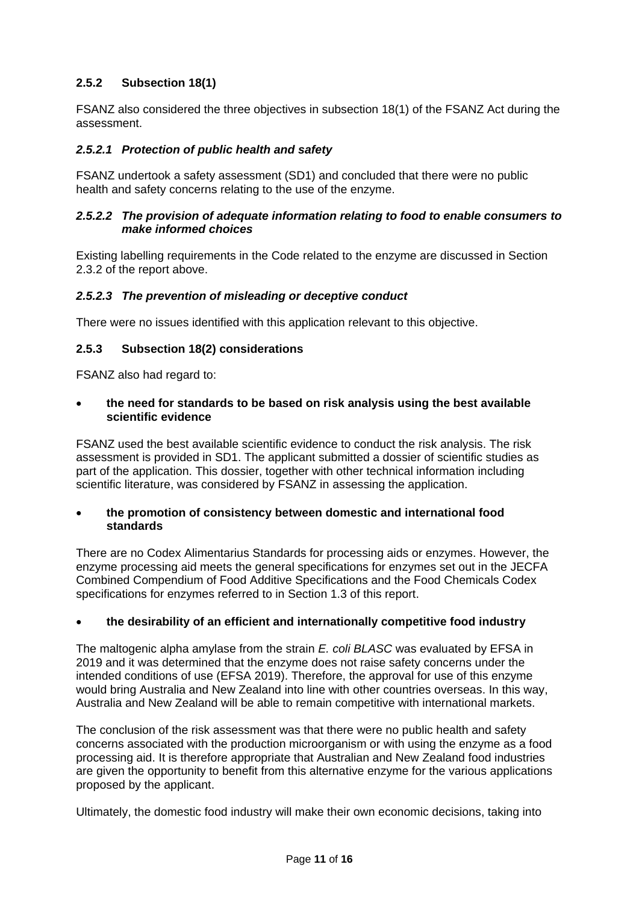## <span id="page-10-0"></span>**2.5.2 Subsection 18(1)**

FSANZ also considered the three objectives in subsection 18(1) of the FSANZ Act during the assessment.

### *2.5.2.1 Protection of public health and safety*

FSANZ undertook a safety assessment (SD1) and concluded that there were no public health and safety concerns relating to the use of the enzyme.

#### *2.5.2.2 The provision of adequate information relating to food to enable consumers to make informed choices*

Existing labelling requirements in the Code related to the enzyme are discussed in Section 2.3.2 of the report above.

### *2.5.2.3 The prevention of misleading or deceptive conduct*

There were no issues identified with this application relevant to this objective.

### **2.5.3 Subsection 18(2) considerations**

FSANZ also had regard to:

#### **the need for standards to be based on risk analysis using the best available scientific evidence**

FSANZ used the best available scientific evidence to conduct the risk analysis. The risk assessment is provided in SD1. The applicant submitted a dossier of scientific studies as part of the application. This dossier, together with other technical information including scientific literature, was considered by FSANZ in assessing the application.

#### **the promotion of consistency between domestic and international food standards**

There are no Codex Alimentarius Standards for processing aids or enzymes. However, the enzyme processing aid meets the general specifications for enzymes set out in the JECFA Combined Compendium of Food Additive Specifications and the Food Chemicals Codex specifications for enzymes referred to in Section 1.3 of this report.

#### **the desirability of an efficient and internationally competitive food industry**

The maltogenic alpha amylase from the strain *E. coli BLASC* was evaluated by EFSA in 2019 and it was determined that the enzyme does not raise safety concerns under the intended conditions of use (EFSA 2019). Therefore, the approval for use of this enzyme would bring Australia and New Zealand into line with other countries overseas. In this way, Australia and New Zealand will be able to remain competitive with international markets.

The conclusion of the risk assessment was that there were no public health and safety concerns associated with the production microorganism or with using the enzyme as a food processing aid. It is therefore appropriate that Australian and New Zealand food industries are given the opportunity to benefit from this alternative enzyme for the various applications proposed by the applicant.

Ultimately, the domestic food industry will make their own economic decisions, taking into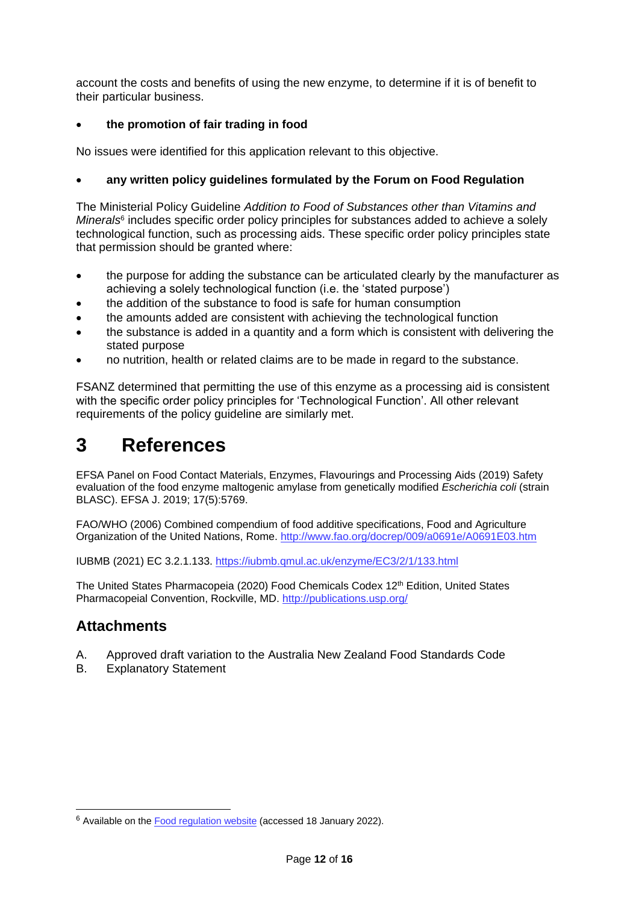account the costs and benefits of using the new enzyme, to determine if it is of benefit to their particular business.

## **the promotion of fair trading in food**

No issues were identified for this application relevant to this objective.

## **any written policy guidelines formulated by the Forum on Food Regulation**

The Ministerial Policy Guideline *Addition to Food of Substances other than Vitamins and*  Minerals<sup>6</sup> includes specific order policy principles for substances added to achieve a solely technological function, such as processing aids. These specific order policy principles state that permission should be granted where:

- the purpose for adding the substance can be articulated clearly by the manufacturer as achieving a solely technological function (i.e. the 'stated purpose')
- the addition of the substance to food is safe for human consumption
- the amounts added are consistent with achieving the technological function
- the substance is added in a quantity and a form which is consistent with delivering the stated purpose
- no nutrition, health or related claims are to be made in regard to the substance.

FSANZ determined that permitting the use of this enzyme as a processing aid is consistent with the specific order policy principles for 'Technological Function'. All other relevant requirements of the policy guideline are similarly met.

# <span id="page-11-0"></span>**3 References**

EFSA Panel on Food Contact Materials, Enzymes, Flavourings and Processing Aids (2019) Safety evaluation of the food enzyme maltogenic amylase from genetically modified *Escherichia coli* (strain BLASC). EFSA J. 2019; 17(5):5769.

FAO/WHO (2006) Combined compendium of food additive specifications, Food and Agriculture Organization of the United Nations, Rome. <http://www.fao.org/docrep/009/a0691e/A0691E03.htm>

IUBMB (2021) EC 3.2.1.133.<https://iubmb.qmul.ac.uk/enzyme/EC3/2/1/133.html>

The United States Pharmacopeia (2020) Food Chemicals Codex 12<sup>th</sup> Edition, United States Pharmacopeial Convention, Rockville, MD.<http://publications.usp.org/>

# **Attachments**

-

- A. Approved draft variation to the Australia New Zealand Food Standards Code
- B. Explanatory Statement

<sup>&</sup>lt;sup>6</sup> Available on the [Food regulation website](http://foodregulation.gov.au/internet/fr/publishing.nsf/Content/publication-Policy-Guideline-on-the-Addition-of-Substances-other-than-Vitamins-and-Minerals) (accessed 18 January 2022).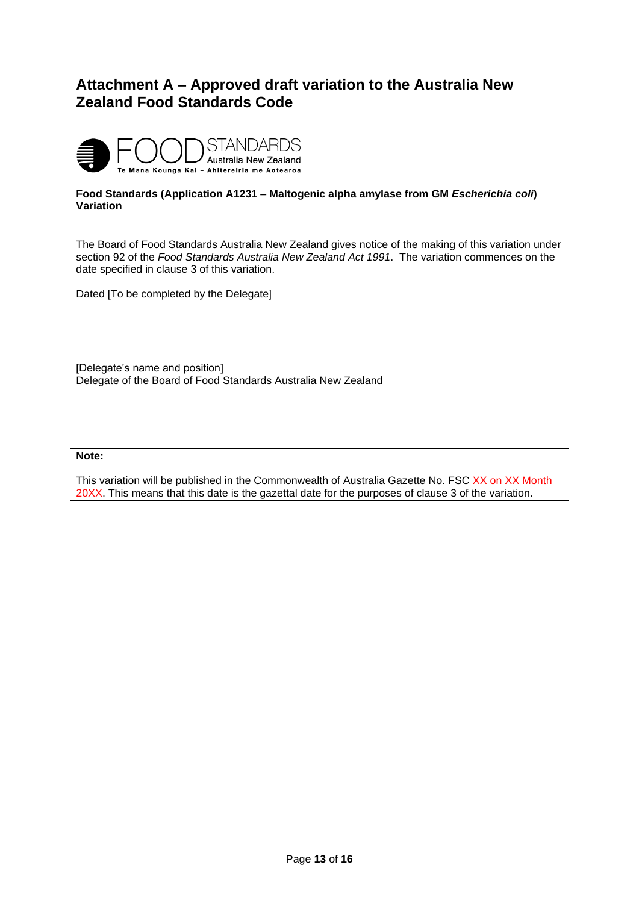# <span id="page-12-0"></span>**Attachment A – Approved draft variation to the Australia New Zealand Food Standards Code**



#### **Food Standards (Application A1231 – Maltogenic alpha amylase from GM** *Escherichia coli***) Variation**

The Board of Food Standards Australia New Zealand gives notice of the making of this variation under section 92 of the *Food Standards Australia New Zealand Act 1991*. The variation commences on the date specified in clause 3 of this variation.

Dated [To be completed by the Delegate]

[Delegate's name and position] Delegate of the Board of Food Standards Australia New Zealand

#### **Note:**

This variation will be published in the Commonwealth of Australia Gazette No. FSC XX on XX Month 20XX. This means that this date is the gazettal date for the purposes of clause 3 of the variation.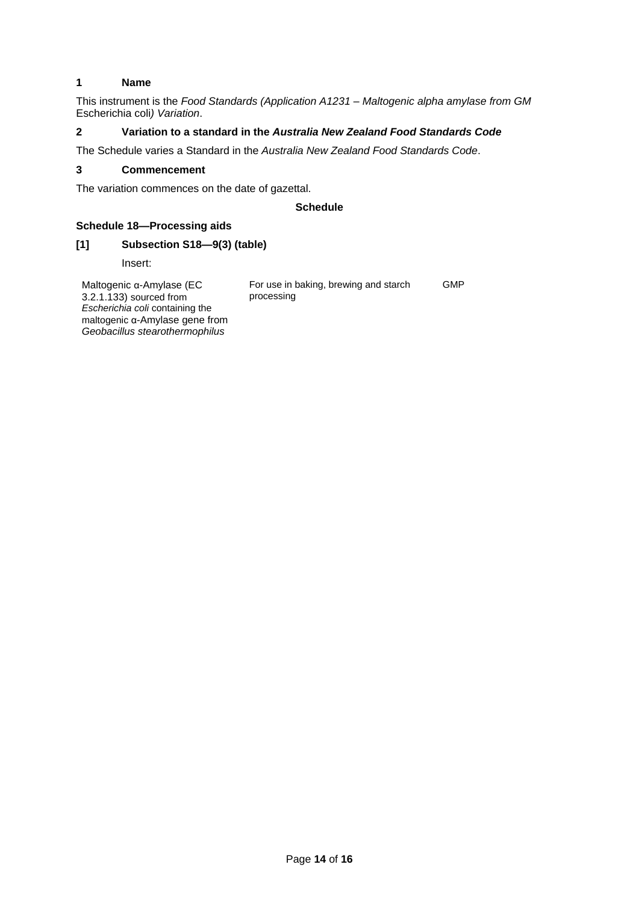#### **1 Name**

This instrument is the *Food Standards (Application A1231 – Maltogenic alpha amylase from GM*  Escherichia coli*) Variation*.

#### **2 Variation to a standard in the** *Australia New Zealand Food Standards Code*

The Schedule varies a Standard in the *Australia New Zealand Food Standards Code*.

#### **3 Commencement**

The variation commences on the date of gazettal.

#### **Schedule**

#### **Schedule 18—Processing aids**

*Geobacillus stearothermophilus*

#### **[1] Subsection S18—9(3) (table)**

Insert:

Maltogenic α-Amylase (EC 3.2.1.133) sourced from *Escherichia coli* containing the maltogenic α-Amylase gene from For use in baking, brewing and starch processing GMP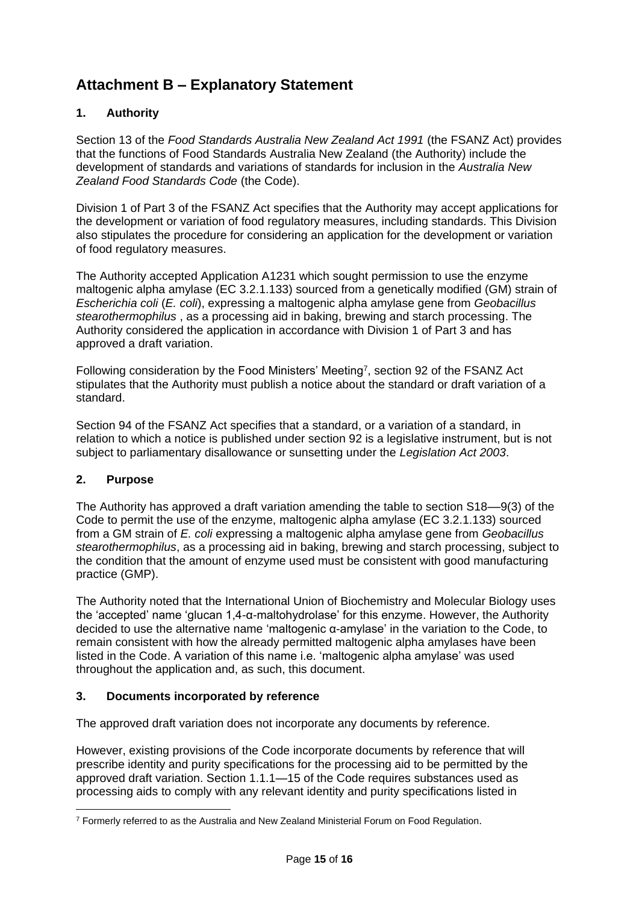# <span id="page-14-0"></span>**Attachment B – Explanatory Statement**

## **1. Authority**

Section 13 of the *Food Standards Australia New Zealand Act 1991* (the FSANZ Act) provides that the functions of Food Standards Australia New Zealand (the Authority) include the development of standards and variations of standards for inclusion in the *Australia New Zealand Food Standards Code* (the Code).

Division 1 of Part 3 of the FSANZ Act specifies that the Authority may accept applications for the development or variation of food regulatory measures, including standards. This Division also stipulates the procedure for considering an application for the development or variation of food regulatory measures.

The Authority accepted Application A1231 which sought permission to use the enzyme maltogenic alpha amylase (EC 3.2.1.133) sourced from a genetically modified (GM) strain of *Escherichia coli* (*E. coli*), expressing a maltogenic alpha amylase gene from *Geobacillus stearothermophilus* , as a processing aid in baking, brewing and starch processing. The Authority considered the application in accordance with Division 1 of Part 3 and has approved a draft variation.

Following consideration by the Food Ministers' Meeting<sup>7</sup>, section 92 of the FSANZ Act stipulates that the Authority must publish a notice about the standard or draft variation of a standard.

Section 94 of the FSANZ Act specifies that a standard, or a variation of a standard, in relation to which a notice is published under section 92 is a legislative instrument, but is not subject to parliamentary disallowance or sunsetting under the *Legislation Act 2003*.

## **2. Purpose**

-

The Authority has approved a draft variation amending the table to section S18––9(3) of the Code to permit the use of the enzyme, maltogenic alpha amylase (EC 3.2.1.133) sourced from a GM strain of *E. coli* expressing a maltogenic alpha amylase gene from *Geobacillus stearothermophilus*, as a processing aid in baking, brewing and starch processing, subject to the condition that the amount of enzyme used must be consistent with good manufacturing practice (GMP).

The Authority noted that the International Union of Biochemistry and Molecular Biology uses the 'accepted' name 'glucan 1,4-α-maltohydrolase' for this enzyme. However, the Authority decided to use the alternative name 'maltogenic α-amylase' in the variation to the Code, to remain consistent with how the already permitted maltogenic alpha amylases have been listed in the Code. A variation of this name i.e. 'maltogenic alpha amylase' was used throughout the application and, as such, this document.

### **3. Documents incorporated by reference**

The approved draft variation does not incorporate any documents by reference.

However, existing provisions of the Code incorporate documents by reference that will prescribe identity and purity specifications for the processing aid to be permitted by the approved draft variation. Section 1.1.1—15 of the Code requires substances used as processing aids to comply with any relevant identity and purity specifications listed in

 $7$  Formerly referred to as the Australia and New Zealand Ministerial Forum on Food Regulation.